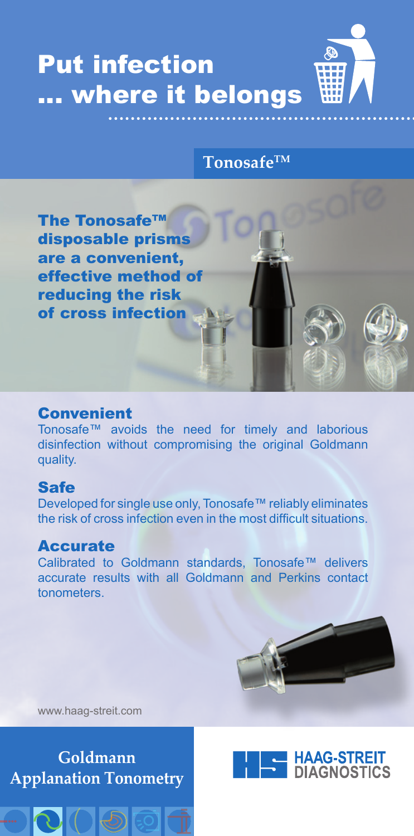

### **TonosafeTM**



## Convenient

Tonosafe™ avoids the need for timely and laborious disinfection without compromising the original Goldmann quality.

# Safe

Developed for single use only, Tonosafe™ reliably eliminates the risk of cross infection even in the most difficult situations.

# Accurate

Calibrated to Goldmann standards, Tonosafe™ delivers accurate results with all Goldmann and Perkins contact tonometers.



www.haag-streit.com

**Goldmann Applanation Tonometry**